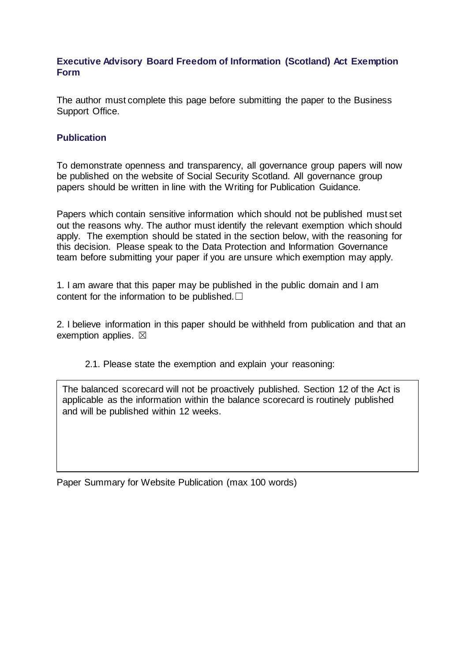## **Executive Advisory Board Freedom of Information (Scotland) Act Exemption Form**

The author must complete this page before submitting the paper to the Business Support Office.

## **Publication**

To demonstrate openness and transparency, all governance group papers will now be published on the website of Social Security Scotland. All governance group papers should be written in line with the Writing for Publication Guidance.

Papers which contain sensitive information which should not be published must set out the reasons why. The author must identify the relevant exemption which should apply. The exemption should be stated in the section below, with the reasoning for this decision. Please speak to the Data Protection and Information Governance team before submitting your paper if you are unsure which exemption may apply.

1. I am aware that this paper may be published in the public domain and I am content for the information to be published. $□$ 

2. I believe information in this paper should be withheld from publication and that an exemption applies.  $\boxtimes$ 

2.1. Please state the exemption and explain your reasoning:

The balanced scorecard will not be proactively published. Section 12 of the Act is applicable as the information within the balance scorecard is routinely published and will be published within 12 weeks.

Paper Summary for Website Publication (max 100 words)